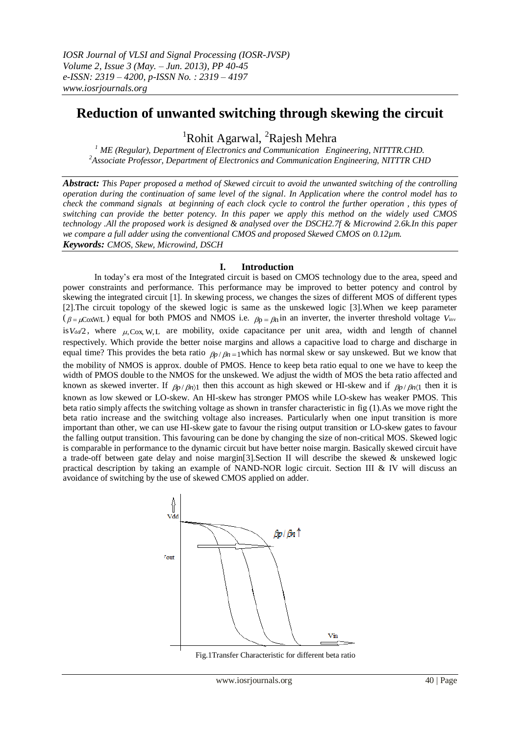֧֦֦֞֝֬֬֝֬֝֬֝֬

# **Reduction of unwanted switching through skewing the circuit**

<sup>1</sup>Rohit Agarwal, <sup>2</sup>Rajesh Mehra

*<sup>1</sup> ME (Regular), Department of Electronics and Communication Engineering, NITTTR.CHD. <sup>2</sup>Associate Professor, Department of Electronics and Communication Engineering, NITTTR CHD*

*Abstract: This Paper proposed a method of Skewed circuit to avoid the unwanted switching of the controlling operation during the continuation of same level of the signal. In Application where the control model has to check the command signals at beginning of each clock cycle to control the further operation , this types of switching can provide the better potency. In this paper we apply this method on the widely used CMOS technology .All the proposed work is designed & analysed over the DSCH2.7f & Microwind 2.6k.In this paper we compare a full adder using the conventional CMOS and proposed Skewed CMOS on 0.12µm. Keywords: CMOS, Skew, Microwind, DSCH*

## **I. Introduction**

In today's era most of the Integrated circuit is based on CMOS technology due to the area, speed and power constraints and performance. This performance may be improved to better potency and control by skewing the integrated circuit [1]. In skewing process, we changes the sizes of different MOS of different types [2].The circuit topology of the skewed logic is same as the unskewed logic [3].When we keep parameter ( $\beta = \mu \text{CoxWL}$ ) equal for both PMOS and NMOS i.e.  $\beta p = \beta n \text{ in an inverter, the inverter threshold voltage } V_{\text{inv}}$ is  $V_{dd}/2$ , where  $\mu$ , Cox, W, L are mobility, oxide capacitance per unit area, width and length of channel respectively. Which provide the better noise margins and allows a capacitive load to charge and discharge in equal time? This provides the beta ratio  $\beta_p / \beta_n = 1$  which has normal skew or say unskewed. But we know that the mobility of NMOS is approx. double of PMOS. Hence to keep beta ratio equal to one we have to keep the width of PMOS double to the NMOS for the unskewed. We adjust the width of MOS the beta ratio affected and known as skewed inverter. If  $\rho_p/\rho_n$  then this account as high skewed or HI-skew and if  $\rho_p/\rho_n$  then it is known as low skewed or LO-skew. An HI-skew has stronger PMOS while LO-skew has weaker PMOS. This beta ratio simply affects the switching voltage as shown in transfer characteristic in fig (1).As we move right the beta ratio increase and the switching voltage also increases. Particularly when one input transition is more important than other, we can use HI-skew gate to favour the rising output transition or LO-skew gates to favour the falling output transition. This favouring can be done by changing the size of non-critical MOS. Skewed logic is comparable in performance to the dynamic circuit but have better noise margin. Basically skewed circuit have a trade-off between gate delay and noise margin[3].Section II will describe the skewed & unskewed logic practical description by taking an example of NAND-NOR logic circuit. Section III & IV will discuss an avoidance of switching by the use of skewed CMOS applied on adder.



Fig.1Transfer Characteristic for different beta ratio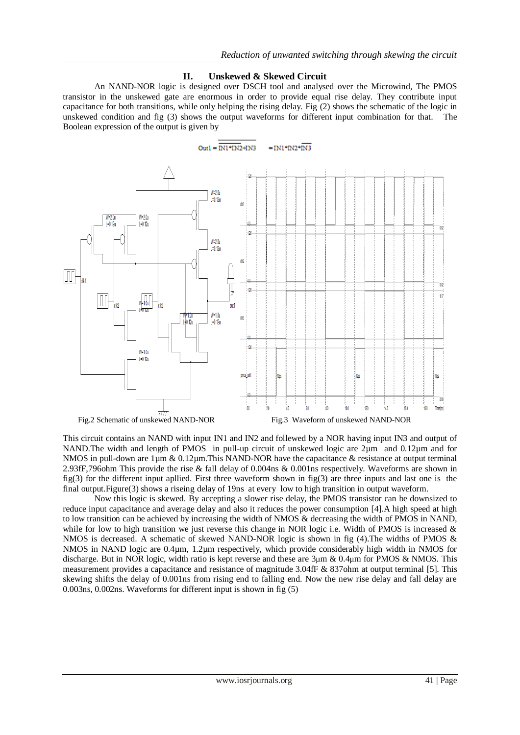#### **II. Unskewed & Skewed Circuit**

An NAND-NOR logic is designed over DSCH tool and analysed over the Microwind, The PMOS transistor in the unskewed gate are enormous in order to provide equal rise delay. They contribute input capacitance for both transitions, while only helping the rising delay. Fig (2) shows the schematic of the logic in unskewed condition and fig (3) shows the output waveforms for different input combination for that. The Boolean expression of the output is given by



This circuit contains an NAND with input IN1 and IN2 and follewed by a NOR having input IN3 and output of NAND. The width and length of PMOS in pull-up circuit of unskewed logic are 2µm and 0.12µm and for NMOS in pull-down are 1 µm & 0.12 µm. This NAND-NOR have the capacitance & resistance at output terminal 2.93fF,796ohm This provide the rise & fall delay of 0.004ns & 0.001ns respectively. Waveforms are shown in fig(3) for the different input apllied. First three waveform shown in fig(3) are three inputs and last one is the final output.Figure(3) shows a riseing delay of 19ns at every low to high transition in output waveform.

 Now this logic is skewed. By accepting a slower rise delay, the PMOS transistor can be downsized to reduce input capacitance and average delay and also it reduces the power consumption [4].A high speed at high to low transition can be achieved by increasing the width of NMOS & decreasing the width of PMOS in NAND, while for low to high transition we just reverse this change in NOR logic i.e. Width of PMOS is increased  $\&$ NMOS is decreased. A schematic of skewed NAND-NOR logic is shown in fig (4). The widths of PMOS & NMOS in NAND logic are 0.4µm, 1.2µm respectively, which provide considerably high width in NMOS for discharge. But in NOR logic, width ratio is kept reverse and these are 3µm & 0.4µm for PMOS & NMOS. This measurement provides a capacitance and resistance of magnitude 3.04fF & 837ohm at output terminal [5]. This skewing shifts the delay of 0.001ns from rising end to falling end. Now the new rise delay and fall delay are 0.003ns, 0.002ns. Waveforms for different input is shown in fig (5)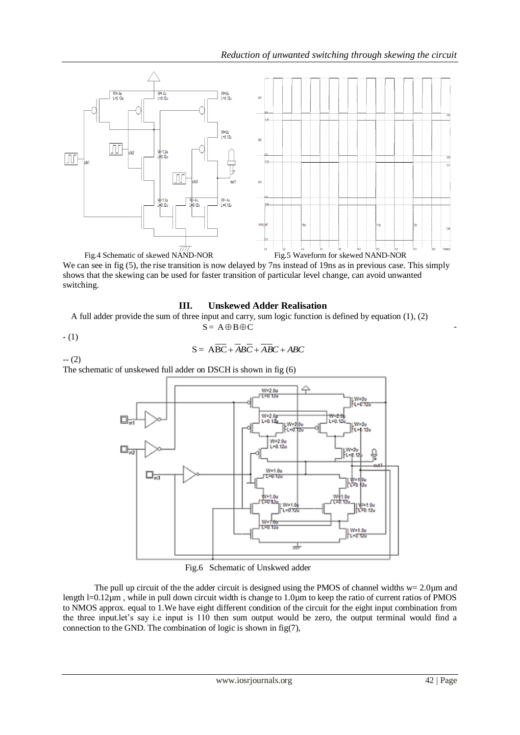

We can see in fig (5), the rise transition is now delayed by 7ns instead of 19ns as in previous case. This simply shows that the skewing can be used for faster transition of particular level change, can avoid unwanted switching.

## **III. Unskewed Adder Realisation**

A full adder provide the sum of three input and carry, sum logic function is defined by equation (1), (2)  $S = A \oplus B \oplus C$ 

$$
- (1)
$$

$$
S = \overline{ABC} + \overline{ABC} + \overline{ABC} + \overline{ABC}
$$

-- (2) The schematic of unskewed full adder on DSCH is shown in fig (6)



Fig.6 Schematic of Unskwed adder

The pull up circuit of the the adder circuit is designed using the PMOS of channel widths  $w= 2.0 \mu m$  and length  $l=0.12\mu m$ , while in pull down circuit width is change to 1.0 $\mu$ m to keep the ratio of current ratios of PMOS to NMOS approx. equal to 1.We have eight different condition of the circuit for the eight input combination from the three input.let's say i.e input is 110 then sum output would be zero, the output terminal would find a connection to the GND. The combination of logic is shown in fig $(7)$ ,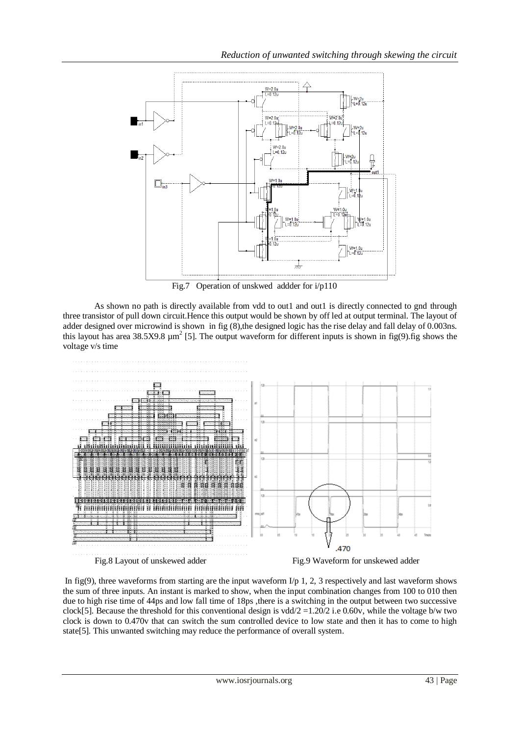

Fig.7 Operation of unskwed addder for i/p110

As shown no path is directly available from vdd to out1 and out1 is directly connected to gnd through three transistor of pull down circuit.Hence this output would be shown by off led at output terminal. The layout of adder designed over microwind is shown in fig (8), the designed logic has the rise delay and fall delay of 0.003ns. this layout has area 38.5X9.8  $\mu$ m<sup>2</sup> [5]. The output waveform for different inputs is shown in fig(9).fig shows the voltage v/s time





In fig(9), three waveforms from starting are the input waveform  $I/p$  1, 2, 3 respectively and last waveform shows the sum of three inputs. An instant is marked to show, when the input combination changes from 100 to 010 then due to high rise time of 44ps and low fall time of 18ps ,there is a switching in the output between two successive clock[5]. Because the threshold for this conventional design is vdd/ $2 = 1.20/2$  i.e 0.60v, while the voltage b/w two clock is down to 0.470v that can switch the sum controlled device to low state and then it has to come to high state[5]. This unwanted switching may reduce the performance of overall system.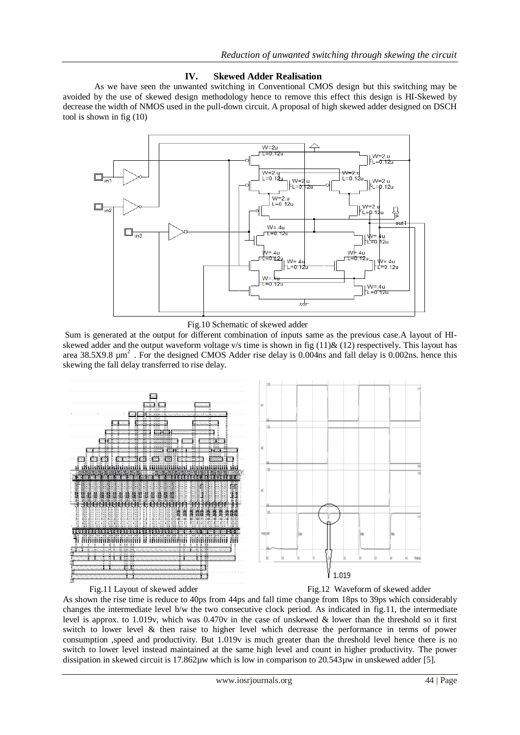### **IV. Skewed Adder Realisation**

As we have seen the unwanted switching in Conventional CMOS design but this switching may be avoided by the use of skewed design methodology hence to remove this effect this design is HI-Skewed by decrease the width of NMOS used in the pull-down circuit. A proposal of high skewed adder designed on DSCH tool is shown in fig (10)



Fig.10 Schematic of skewed adder

Sum is generated at the output for different combination of inputs same as the previous case.A layout of HIskewed adder and the output waveform voltage v/s time is shown in fig  $(11)\& (12)$  respectively. This layout has area 38.5X9.8  $\mu$ m<sup>2</sup>. For the designed CMOS Adder rise delay is 0.004ns and fall delay is 0.002ns. hence this skewing the fall delay transferred to rise delay.





Fig.11 Layout of skewed adder Fig.12 Waveform of skewed adder

As shown the rise time is reduce to 40ps from 44ps and fall time change from 18ps to 39ps which considerably changes the intermediate level b/w the two consecutive clock period. As indicated in fig.11, the intermediate level is approx. to 1.019v, which was 0.470v in the case of unskewed & lower than the threshold so it first switch to lower level & then raise to higher level which decrease the performance in terms of power consumption ,speed and productivity. But 1.019v is much greater than the threshold level hence there is no switch to lower level instead maintained at the same high level and count in higher productivity. The power dissipation in skewed circuit is 17.862µw which is low in comparison to 20.543µw in unskewed adder [5].